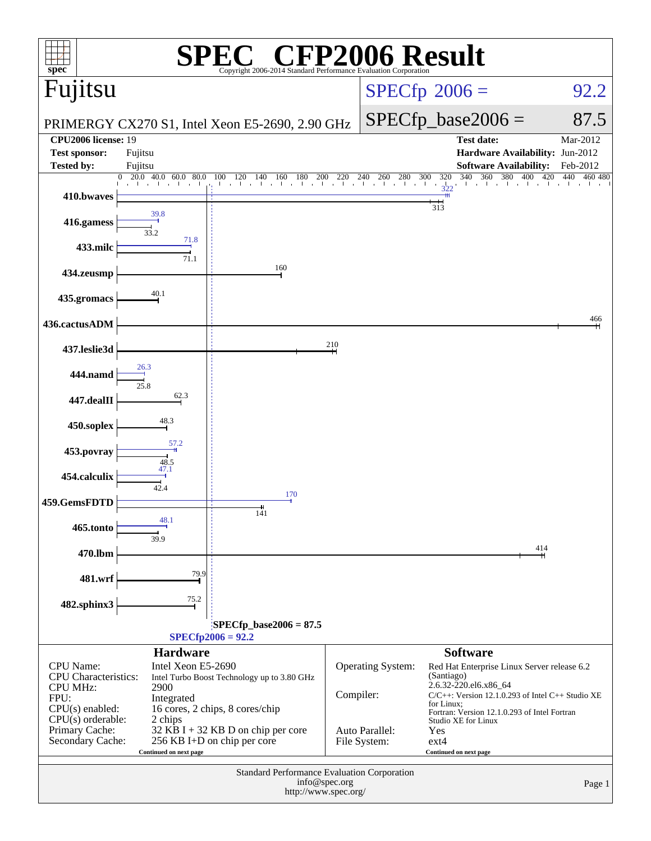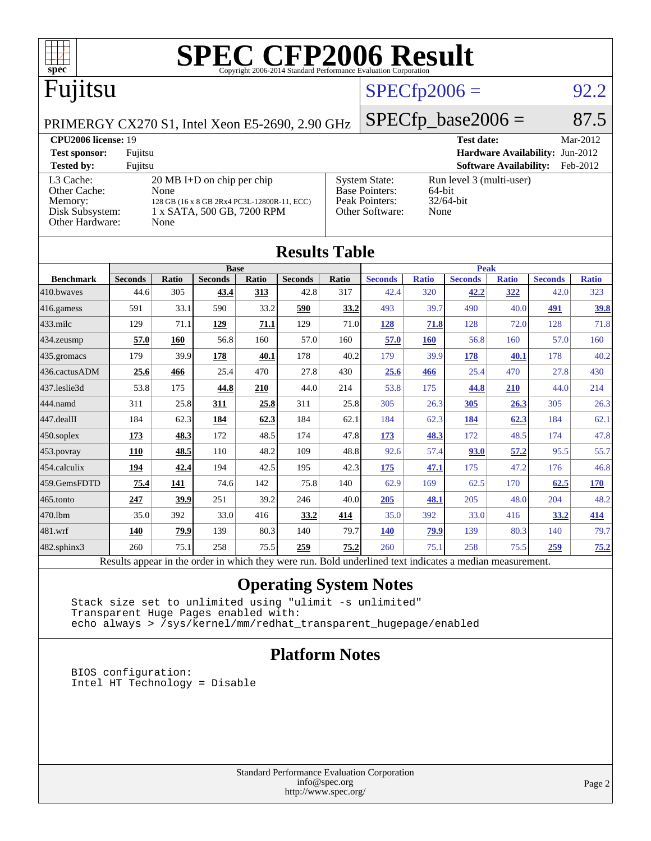

|                                                                                                          | <b>Base</b>    |       |                |       |                |       | <b>Peak</b>    |              |                |              |                |              |
|----------------------------------------------------------------------------------------------------------|----------------|-------|----------------|-------|----------------|-------|----------------|--------------|----------------|--------------|----------------|--------------|
| <b>Benchmark</b>                                                                                         | <b>Seconds</b> | Ratio | <b>Seconds</b> | Ratio | <b>Seconds</b> | Ratio | <b>Seconds</b> | <b>Ratio</b> | <b>Seconds</b> | <b>Ratio</b> | <b>Seconds</b> | <b>Ratio</b> |
| 410.bwaves                                                                                               | 44.6           | 305   | 43.4           | 313   | 42.8           | 317   | 42.4           | 320          | 42.2           | 322          | 42.0           | 323          |
| 416.gamess                                                                                               | 591            | 33.1  | 590            | 33.2  | 590            | 33.2  | 493            | 39.7         | 490            | 40.0         | <u>491</u>     | <u>39.8</u>  |
| $ 433 \text{.}$ milc                                                                                     | 129            | 71.1  | 129            | 71.1  | 129            | 71.0  | 128            | 71.8         | 128            | 72.0         | 128            | 71.8         |
| $ 434$ . zeusmp                                                                                          | 57.0           | 160   | 56.8           | 160   | 57.0           | 160   | 57.0           | <b>160</b>   | 56.8           | 160          | 57.0           | 160          |
| $435$ .gromacs                                                                                           | 179            | 39.9  | 178            | 40.1  | 178            | 40.2  | 179            | 39.9         | 178            | 40.1         | 178            | 40.2         |
| 436.cactusADM                                                                                            | 25.6           | 466   | 25.4           | 470   | 27.8           | 430   | 25.6           | 466          | 25.4           | 470          | 27.8           | 430          |
| 437.leslie3d                                                                                             | 53.8           | 175   | 44.8           | 210   | 44.0           | 214   | 53.8           | 175          | 44.8           | 210          | 44.0           | 214          |
| 444.namd                                                                                                 | 311            | 25.8  | 311            | 25.8  | 311            | 25.8  | 305            | 26.3         | 305            | 26.3         | 305            | 26.3         |
| $ 447 \text{.}$ dealII                                                                                   | 184            | 62.3  | <u>184</u>     | 62.3  | 184            | 62.1  | 184            | 62.3         | 184            | 62.3         | 184            | 62.1         |
| $450$ .soplex                                                                                            | 173            | 48.3  | 172            | 48.5  | 174            | 47.8  | <u>173</u>     | 48.3         | 172            | 48.5         | 174            | 47.8         |
| 453.povray                                                                                               | <b>110</b>     | 48.5  | 110            | 48.2  | 109            | 48.8  | 92.6           | 57.4         | 93.0           | 57.2         | 95.5           | 55.7         |
| $454$ .calculix                                                                                          | 194            | 42.4  | 194            | 42.5  | 195            | 42.3  | <u>175</u>     | 47.1         | 175            | 47.2         | 176            | 46.8         |
| 459.GemsFDTD                                                                                             | 75.4           | 141   | 74.6           | 142   | 75.8           | 140   | 62.9           | 169          | 62.5           | 170          | 62.5           | 170          |
| $465$ .tonto                                                                                             | 247            | 39.9  | 251            | 39.2  | 246            | 40.0  | 205            | 48.1         | 205            | 48.0         | 204            | 48.2         |
| 470.1bm                                                                                                  | 35.0           | 392   | 33.0           | 416   | 33.2           | 414   | 35.0           | 392          | 33.0           | 416          | 33.2           | 414          |
| $ 481$ .wrf                                                                                              | 140            | 79.9  | 139            | 80.3  | 140            | 79.7  | <b>140</b>     | 79.9         | 139            | 80.3         | 140            | 79.7         |
| 482.sphinx3                                                                                              | 260            | 75.1  | 258            | 75.5  | 259            | 75.2  | 260            | 75.1         | 258            | 75.5         | 259            | 75.2         |
| Results appear in the order in which they were run. Bold underlined text indicates a median measurement. |                |       |                |       |                |       |                |              |                |              |                |              |

### **[Operating System Notes](http://www.spec.org/auto/cpu2006/Docs/result-fields.html#OperatingSystemNotes)**

 Stack size set to unlimited using "ulimit -s unlimited" Transparent Huge Pages enabled with: echo always > /sys/kernel/mm/redhat\_transparent\_hugepage/enabled

### **[Platform Notes](http://www.spec.org/auto/cpu2006/Docs/result-fields.html#PlatformNotes)**

 BIOS configuration: Intel HT Technology = Disable

> Standard Performance Evaluation Corporation [info@spec.org](mailto:info@spec.org) <http://www.spec.org/>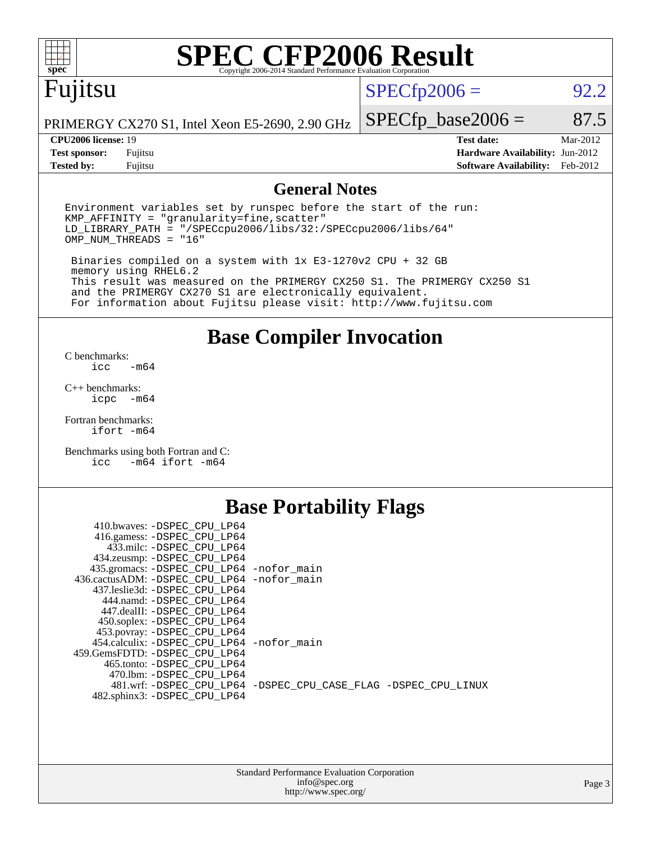

# **[SPEC CFP2006 Result](http://www.spec.org/auto/cpu2006/Docs/result-fields.html#SPECCFP2006Result)**

# Fujitsu

 $SPECfp2006 = 92.2$  $SPECfp2006 = 92.2$ 

PRIMERGY CX270 S1, Intel Xeon E5-2690, 2.90 GHz

**[Tested by:](http://www.spec.org/auto/cpu2006/Docs/result-fields.html#Testedby)** Fujitsu **[Software Availability:](http://www.spec.org/auto/cpu2006/Docs/result-fields.html#SoftwareAvailability)** Feb-2012

 $SPECTp\_base2006 = 87.5$ **[CPU2006 license:](http://www.spec.org/auto/cpu2006/Docs/result-fields.html#CPU2006license)** 19 **[Test date:](http://www.spec.org/auto/cpu2006/Docs/result-fields.html#Testdate)** Mar-2012 **[Test sponsor:](http://www.spec.org/auto/cpu2006/Docs/result-fields.html#Testsponsor)** Fujitsu **[Hardware Availability:](http://www.spec.org/auto/cpu2006/Docs/result-fields.html#HardwareAvailability)** Jun-2012

### **[General Notes](http://www.spec.org/auto/cpu2006/Docs/result-fields.html#GeneralNotes)**

Environment variables set by runspec before the start of the run:  $KMP$  AFFINITY = "granularity=fine, scatter" LD\_LIBRARY\_PATH = "/SPECcpu2006/libs/32:/SPECcpu2006/libs/64" OMP\_NUM\_THREADS = "16"

 Binaries compiled on a system with 1x E3-1270v2 CPU + 32 GB memory using RHEL6.2 This result was measured on the PRIMERGY CX250 S1. The PRIMERGY CX250 S1 and the PRIMERGY CX270 S1 are electronically equivalent. For information about Fujitsu please visit: <http://www.fujitsu.com>

**[Base Compiler Invocation](http://www.spec.org/auto/cpu2006/Docs/result-fields.html#BaseCompilerInvocation)**

[C benchmarks](http://www.spec.org/auto/cpu2006/Docs/result-fields.html#Cbenchmarks):  $-m64$ 

[C++ benchmarks:](http://www.spec.org/auto/cpu2006/Docs/result-fields.html#CXXbenchmarks) [icpc -m64](http://www.spec.org/cpu2006/results/res2012q3/cpu2006-20120620-23087.flags.html#user_CXXbase_intel_icpc_64bit_bedb90c1146cab66620883ef4f41a67e)

[Fortran benchmarks](http://www.spec.org/auto/cpu2006/Docs/result-fields.html#Fortranbenchmarks): [ifort -m64](http://www.spec.org/cpu2006/results/res2012q3/cpu2006-20120620-23087.flags.html#user_FCbase_intel_ifort_64bit_ee9d0fb25645d0210d97eb0527dcc06e)

[Benchmarks using both Fortran and C](http://www.spec.org/auto/cpu2006/Docs/result-fields.html#BenchmarksusingbothFortranandC): [icc -m64](http://www.spec.org/cpu2006/results/res2012q3/cpu2006-20120620-23087.flags.html#user_CC_FCbase_intel_icc_64bit_0b7121f5ab7cfabee23d88897260401c) [ifort -m64](http://www.spec.org/cpu2006/results/res2012q3/cpu2006-20120620-23087.flags.html#user_CC_FCbase_intel_ifort_64bit_ee9d0fb25645d0210d97eb0527dcc06e)

### **[Base Portability Flags](http://www.spec.org/auto/cpu2006/Docs/result-fields.html#BasePortabilityFlags)**

| 410.bwaves: -DSPEC CPU LP64<br>416.gamess: -DSPEC_CPU_LP64<br>433.milc: -DSPEC CPU LP64 |                                                                |
|-----------------------------------------------------------------------------------------|----------------------------------------------------------------|
| 434.zeusmp: -DSPEC_CPU_LP64                                                             |                                                                |
| 435.gromacs: -DSPEC_CPU_LP64 -nofor_main<br>436.cactusADM: -DSPEC CPU LP64 -nofor main  |                                                                |
| 437.leslie3d: -DSPEC CPU LP64                                                           |                                                                |
| 444.namd: -DSPEC CPU LP64                                                               |                                                                |
| 447.dealII: -DSPEC_CPU LP64                                                             |                                                                |
| 450.soplex: -DSPEC_CPU_LP64                                                             |                                                                |
| 453.povray: -DSPEC_CPU_LP64                                                             |                                                                |
| 454.calculix: - DSPEC CPU LP64 - nofor main                                             |                                                                |
| 459. GemsFDTD: - DSPEC CPU LP64                                                         |                                                                |
| 465.tonto: - DSPEC CPU LP64                                                             |                                                                |
| 470.1bm: - DSPEC CPU LP64                                                               |                                                                |
|                                                                                         | 481.wrf: -DSPEC CPU_LP64 -DSPEC_CPU_CASE_FLAG -DSPEC_CPU_LINUX |
| 482.sphinx3: -DSPEC_CPU_LP64                                                            |                                                                |
|                                                                                         |                                                                |

| <b>Standard Performance Evaluation Corporation</b> |  |  |  |  |  |
|----------------------------------------------------|--|--|--|--|--|
| info@spec.org                                      |  |  |  |  |  |
| http://www.spec.org/                               |  |  |  |  |  |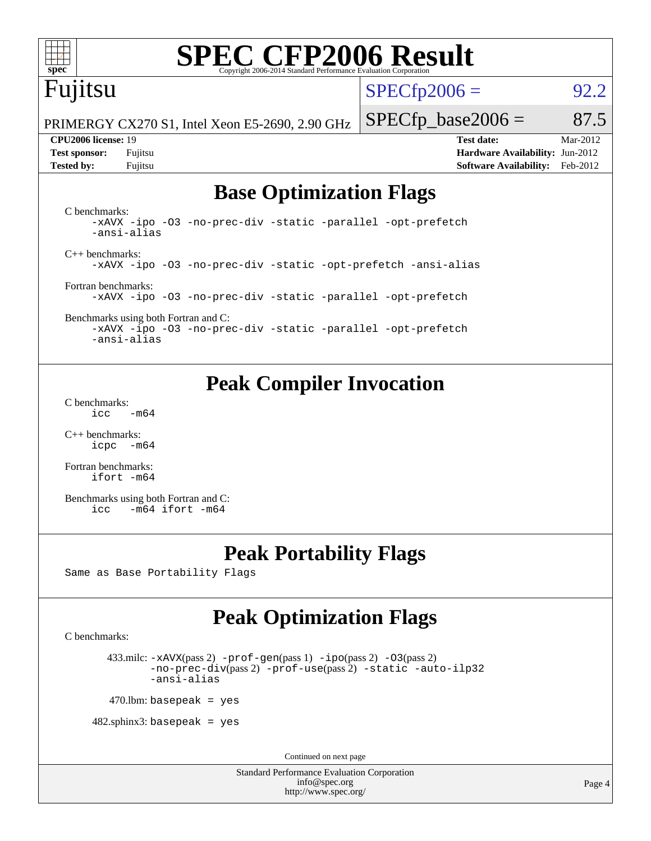

# **[SPEC CFP2006 Result](http://www.spec.org/auto/cpu2006/Docs/result-fields.html#SPECCFP2006Result)**

## Fujitsu

 $SPECTp2006 = 92.2$ 

PRIMERGY CX270 S1, Intel Xeon E5-2690, 2.90 GHz

 $SPECTp\_base2006 = 87.5$ **[CPU2006 license:](http://www.spec.org/auto/cpu2006/Docs/result-fields.html#CPU2006license)** 19 **[Test date:](http://www.spec.org/auto/cpu2006/Docs/result-fields.html#Testdate)** Mar-2012

**[Test sponsor:](http://www.spec.org/auto/cpu2006/Docs/result-fields.html#Testsponsor)** Fujitsu **[Hardware Availability:](http://www.spec.org/auto/cpu2006/Docs/result-fields.html#HardwareAvailability)** Jun-2012 **[Tested by:](http://www.spec.org/auto/cpu2006/Docs/result-fields.html#Testedby)** Fujitsu **[Software Availability:](http://www.spec.org/auto/cpu2006/Docs/result-fields.html#SoftwareAvailability)** Feb-2012

### **[Base Optimization Flags](http://www.spec.org/auto/cpu2006/Docs/result-fields.html#BaseOptimizationFlags)**

[C benchmarks](http://www.spec.org/auto/cpu2006/Docs/result-fields.html#Cbenchmarks): [-xAVX](http://www.spec.org/cpu2006/results/res2012q3/cpu2006-20120620-23087.flags.html#user_CCbase_f-xAVX) [-ipo](http://www.spec.org/cpu2006/results/res2012q3/cpu2006-20120620-23087.flags.html#user_CCbase_f-ipo) [-O3](http://www.spec.org/cpu2006/results/res2012q3/cpu2006-20120620-23087.flags.html#user_CCbase_f-O3) [-no-prec-div](http://www.spec.org/cpu2006/results/res2012q3/cpu2006-20120620-23087.flags.html#user_CCbase_f-no-prec-div) [-static](http://www.spec.org/cpu2006/results/res2012q3/cpu2006-20120620-23087.flags.html#user_CCbase_f-static) [-parallel](http://www.spec.org/cpu2006/results/res2012q3/cpu2006-20120620-23087.flags.html#user_CCbase_f-parallel) [-opt-prefetch](http://www.spec.org/cpu2006/results/res2012q3/cpu2006-20120620-23087.flags.html#user_CCbase_f-opt-prefetch) [-ansi-alias](http://www.spec.org/cpu2006/results/res2012q3/cpu2006-20120620-23087.flags.html#user_CCbase_f-ansi-alias) [C++ benchmarks:](http://www.spec.org/auto/cpu2006/Docs/result-fields.html#CXXbenchmarks) [-xAVX](http://www.spec.org/cpu2006/results/res2012q3/cpu2006-20120620-23087.flags.html#user_CXXbase_f-xAVX) [-ipo](http://www.spec.org/cpu2006/results/res2012q3/cpu2006-20120620-23087.flags.html#user_CXXbase_f-ipo) [-O3](http://www.spec.org/cpu2006/results/res2012q3/cpu2006-20120620-23087.flags.html#user_CXXbase_f-O3) [-no-prec-div](http://www.spec.org/cpu2006/results/res2012q3/cpu2006-20120620-23087.flags.html#user_CXXbase_f-no-prec-div) [-static](http://www.spec.org/cpu2006/results/res2012q3/cpu2006-20120620-23087.flags.html#user_CXXbase_f-static) [-opt-prefetch](http://www.spec.org/cpu2006/results/res2012q3/cpu2006-20120620-23087.flags.html#user_CXXbase_f-opt-prefetch) [-ansi-alias](http://www.spec.org/cpu2006/results/res2012q3/cpu2006-20120620-23087.flags.html#user_CXXbase_f-ansi-alias) [Fortran benchmarks](http://www.spec.org/auto/cpu2006/Docs/result-fields.html#Fortranbenchmarks): [-xAVX](http://www.spec.org/cpu2006/results/res2012q3/cpu2006-20120620-23087.flags.html#user_FCbase_f-xAVX) [-ipo](http://www.spec.org/cpu2006/results/res2012q3/cpu2006-20120620-23087.flags.html#user_FCbase_f-ipo) [-O3](http://www.spec.org/cpu2006/results/res2012q3/cpu2006-20120620-23087.flags.html#user_FCbase_f-O3) [-no-prec-div](http://www.spec.org/cpu2006/results/res2012q3/cpu2006-20120620-23087.flags.html#user_FCbase_f-no-prec-div) [-static](http://www.spec.org/cpu2006/results/res2012q3/cpu2006-20120620-23087.flags.html#user_FCbase_f-static) [-parallel](http://www.spec.org/cpu2006/results/res2012q3/cpu2006-20120620-23087.flags.html#user_FCbase_f-parallel) [-opt-prefetch](http://www.spec.org/cpu2006/results/res2012q3/cpu2006-20120620-23087.flags.html#user_FCbase_f-opt-prefetch)

[Benchmarks using both Fortran and C](http://www.spec.org/auto/cpu2006/Docs/result-fields.html#BenchmarksusingbothFortranandC): [-xAVX](http://www.spec.org/cpu2006/results/res2012q3/cpu2006-20120620-23087.flags.html#user_CC_FCbase_f-xAVX) [-ipo](http://www.spec.org/cpu2006/results/res2012q3/cpu2006-20120620-23087.flags.html#user_CC_FCbase_f-ipo) [-O3](http://www.spec.org/cpu2006/results/res2012q3/cpu2006-20120620-23087.flags.html#user_CC_FCbase_f-O3) [-no-prec-div](http://www.spec.org/cpu2006/results/res2012q3/cpu2006-20120620-23087.flags.html#user_CC_FCbase_f-no-prec-div) [-static](http://www.spec.org/cpu2006/results/res2012q3/cpu2006-20120620-23087.flags.html#user_CC_FCbase_f-static) [-parallel](http://www.spec.org/cpu2006/results/res2012q3/cpu2006-20120620-23087.flags.html#user_CC_FCbase_f-parallel) [-opt-prefetch](http://www.spec.org/cpu2006/results/res2012q3/cpu2006-20120620-23087.flags.html#user_CC_FCbase_f-opt-prefetch) [-ansi-alias](http://www.spec.org/cpu2006/results/res2012q3/cpu2006-20120620-23087.flags.html#user_CC_FCbase_f-ansi-alias)

### **[Peak Compiler Invocation](http://www.spec.org/auto/cpu2006/Docs/result-fields.html#PeakCompilerInvocation)**

[C benchmarks](http://www.spec.org/auto/cpu2006/Docs/result-fields.html#Cbenchmarks):  $\text{icc}$  -m64

[C++ benchmarks:](http://www.spec.org/auto/cpu2006/Docs/result-fields.html#CXXbenchmarks) [icpc -m64](http://www.spec.org/cpu2006/results/res2012q3/cpu2006-20120620-23087.flags.html#user_CXXpeak_intel_icpc_64bit_bedb90c1146cab66620883ef4f41a67e)

[Fortran benchmarks](http://www.spec.org/auto/cpu2006/Docs/result-fields.html#Fortranbenchmarks): [ifort -m64](http://www.spec.org/cpu2006/results/res2012q3/cpu2006-20120620-23087.flags.html#user_FCpeak_intel_ifort_64bit_ee9d0fb25645d0210d97eb0527dcc06e)

[Benchmarks using both Fortran and C](http://www.spec.org/auto/cpu2006/Docs/result-fields.html#BenchmarksusingbothFortranandC): [icc -m64](http://www.spec.org/cpu2006/results/res2012q3/cpu2006-20120620-23087.flags.html#user_CC_FCpeak_intel_icc_64bit_0b7121f5ab7cfabee23d88897260401c) [ifort -m64](http://www.spec.org/cpu2006/results/res2012q3/cpu2006-20120620-23087.flags.html#user_CC_FCpeak_intel_ifort_64bit_ee9d0fb25645d0210d97eb0527dcc06e)

## **[Peak Portability Flags](http://www.spec.org/auto/cpu2006/Docs/result-fields.html#PeakPortabilityFlags)**

Same as Base Portability Flags

## **[Peak Optimization Flags](http://www.spec.org/auto/cpu2006/Docs/result-fields.html#PeakOptimizationFlags)**

[C benchmarks](http://www.spec.org/auto/cpu2006/Docs/result-fields.html#Cbenchmarks):

433.milc:  $-x$ AVX(pass 2)  $-p$ rof-gen(pass 1)  $-p$ po(pass 2)  $-03$ (pass 2) [-no-prec-div](http://www.spec.org/cpu2006/results/res2012q3/cpu2006-20120620-23087.flags.html#user_peakPASS2_CFLAGSPASS2_LDFLAGS433_milc_f-no-prec-div)(pass 2) [-prof-use](http://www.spec.org/cpu2006/results/res2012q3/cpu2006-20120620-23087.flags.html#user_peakPASS2_CFLAGSPASS2_LDFLAGS433_milc_prof_use_bccf7792157ff70d64e32fe3e1250b55)(pass 2) [-static](http://www.spec.org/cpu2006/results/res2012q3/cpu2006-20120620-23087.flags.html#user_peakOPTIMIZE433_milc_f-static) [-auto-ilp32](http://www.spec.org/cpu2006/results/res2012q3/cpu2006-20120620-23087.flags.html#user_peakCOPTIMIZE433_milc_f-auto-ilp32) [-ansi-alias](http://www.spec.org/cpu2006/results/res2012q3/cpu2006-20120620-23087.flags.html#user_peakCOPTIMIZE433_milc_f-ansi-alias)

 $470$ .lbm: basepeak = yes

 $482$ .sphinx3: basepeak = yes

Continued on next page

Standard Performance Evaluation Corporation [info@spec.org](mailto:info@spec.org) <http://www.spec.org/>

Page 4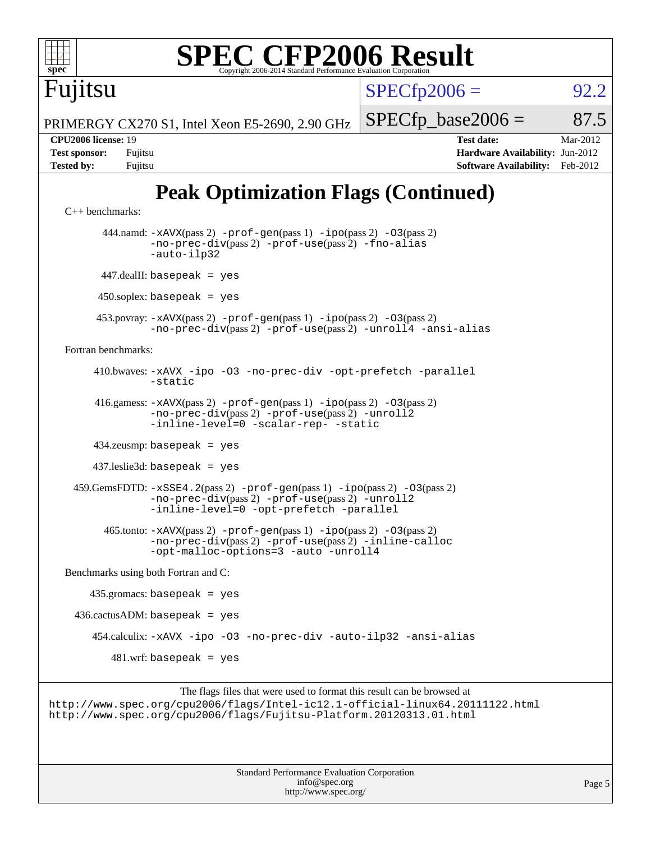

```
 437.leslie3d: basepeak = yes
```

```
 459.GemsFDTD: -xSSE4.2(pass 2) -prof-gen(pass 1) -ipo(pass 2) -O3(pass 2)
             -no-prec-div(pass 2) -prof-use(pass 2) -unroll2
             -inline-level=0 -opt-prefetch -parallel
```

```
 465.tonto: -xAVX(pass 2) -prof-gen(pass 1) -ipo(pass 2) -O3(pass 2)
        -no-prec-div(pass 2) -prof-use(pass 2) -inline-calloc
        -opt-malloc-options=3 -auto -unroll4
```
[Benchmarks using both Fortran and C](http://www.spec.org/auto/cpu2006/Docs/result-fields.html#BenchmarksusingbothFortranandC):

```
 435.gromacs: basepeak = yes
436.cactusADM: basepeak = yes 454.calculix: -xAVX -ipo -O3 -no-prec-div -auto-ilp32 -ansi-alias
      481.wrf: basepeak = yes
```

```
The flags files that were used to format this result can be browsed at
http://www.spec.org/cpu2006/flags/Intel-ic12.1-official-linux64.20111122.html
http://www.spec.org/cpu2006/flags/Fujitsu-Platform.20120313.01.html
```